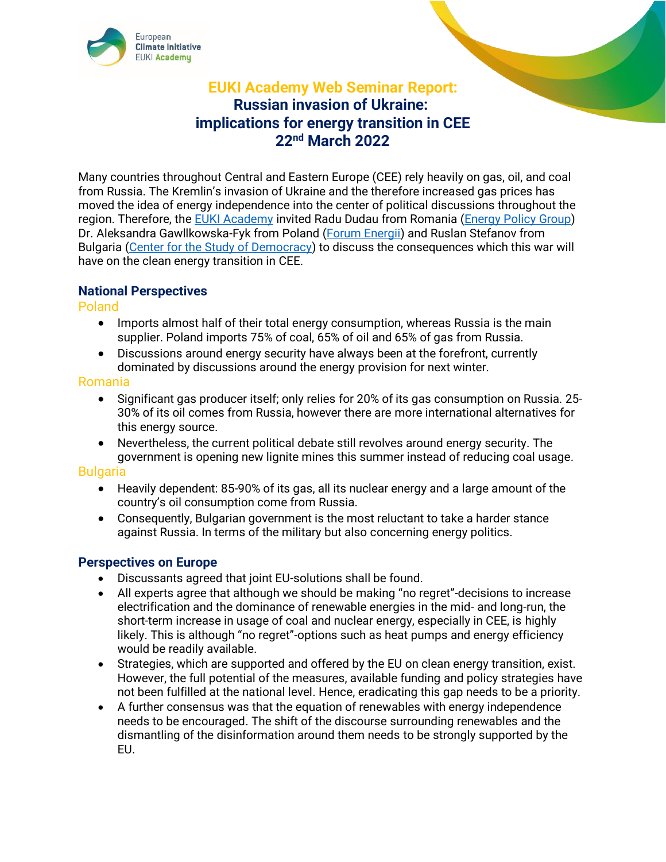

# **EUKI Academy Web Seminar Report: Russian invasion of Ukraine: implications for energy transition in CEE 22nd March 2022**

Many countries throughout Central and Eastern Europe (CEE) rely heavily on gas, oil, and coal from Russia. The Kremlin's invasion of Ukraine and the therefore increased gas prices has moved the idea of energy independence into the center of political discussions throughout the region. Therefore, the [EUKI Academy](https://www.euki.de/en/euki-events/#event-current) invited Radu Dudau from Romania [\(Energy Policy Group\)](https://www.enpg.ro/staff/) Dr. Aleksandra Gawllkowska-Fyk from Poland [\(Forum Energii\)](https://forum-energii.eu/en/o-nas) and Ruslan Stefanov from Bulgaria [\(Center for the Study of Democracy\)](https://csd.bg/experts/expert/Ruslan-Stefanov/) to discuss the consequences which this war will have on the clean energy transition in CEE.

## **National Perspectives**

Poland

- Imports almost half of their total energy consumption, whereas Russia is the main supplier. Poland imports 75% of coal, 65% of oil and 65% of gas from Russia.
- Discussions around energy security have always been at the forefront, currently dominated by discussions around the energy provision for next winter.

#### Romania

- Significant gas producer itself; only relies for 20% of its gas consumption on Russia. 25- 30% of its oil comes from Russia, however there are more international alternatives for this energy source.
- Nevertheless, the current political debate still revolves around energy security. The government is opening new lignite mines this summer instead of reducing coal usage.

#### Bulgaria

- Heavily dependent: 85-90% of its gas, all its nuclear energy and a large amount of the country's oil consumption come from Russia.
- Consequently, Bulgarian government is the most reluctant to take a harder stance against Russia. In terms of the military but also concerning energy politics.

## **Perspectives on Europe**

- Discussants agreed that joint EU-solutions shall be found.
- All experts agree that although we should be making "no regret"-decisions to increase electrification and the dominance of renewable energies in the mid- and long-run, the short-term increase in usage of coal and nuclear energy, especially in CEE, is highly likely. This is although "no regret"-options such as heat pumps and energy efficiency would be readily available.
- Strategies, which are supported and offered by the EU on clean energy transition, exist. However, the full potential of the measures, available funding and policy strategies have not been fulfilled at the national level. Hence, eradicating this gap needs to be a priority.
- A further consensus was that the equation of renewables with energy independence needs to be encouraged. The shift of the discourse surrounding renewables and the dismantling of the disinformation around them needs to be strongly supported by the EU.